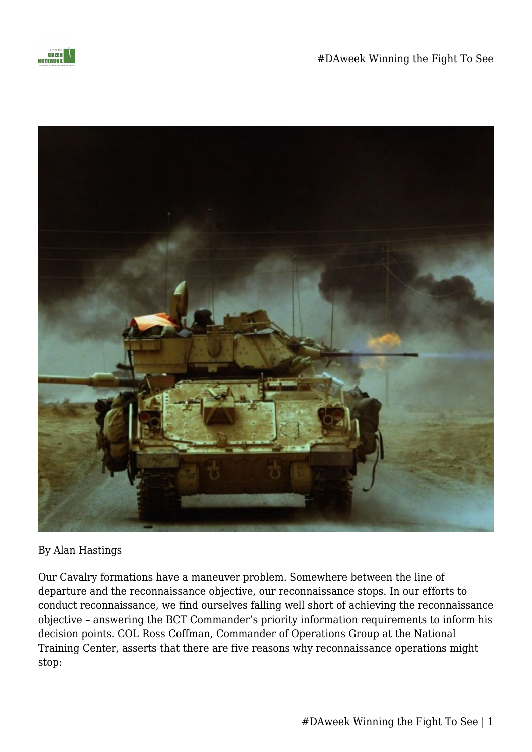



## By Alan Hastings

Our Cavalry formations have a maneuver problem. Somewhere between the line of departure and the reconnaissance objective, our reconnaissance stops. In our efforts to conduct reconnaissance, we find ourselves falling well short of achieving the reconnaissance objective – answering the BCT Commander's priority information requirements to inform his decision points. COL Ross Coffman, Commander of Operations Group at the National Training Center, asserts that there are five reasons why reconnaissance operations might stop: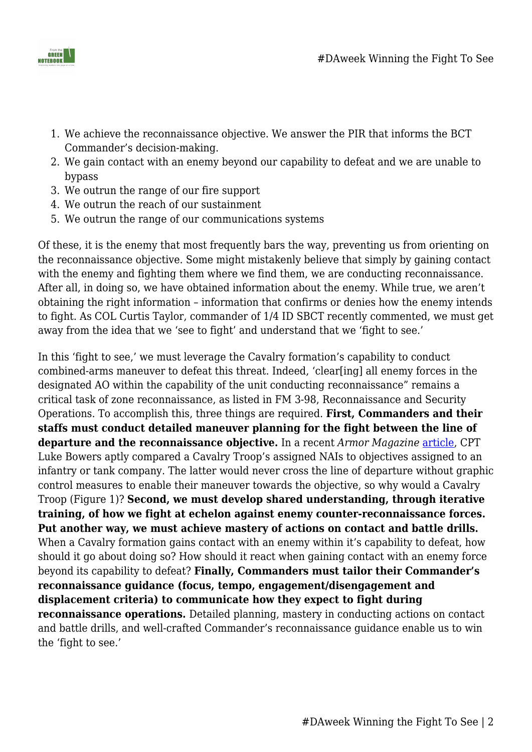



- 1. We achieve the reconnaissance objective. We answer the PIR that informs the BCT Commander's decision-making.
- 2. We gain contact with an enemy beyond our capability to defeat and we are unable to bypass
- 3. We outrun the range of our fire support
- 4. We outrun the reach of our sustainment
- 5. We outrun the range of our communications systems

Of these, it is the enemy that most frequently bars the way, preventing us from orienting on the reconnaissance objective. Some might mistakenly believe that simply by gaining contact with the enemy and fighting them where we find them, we are conducting reconnaissance. After all, in doing so, we have obtained information about the enemy. While true, we aren't obtaining the right information – information that confirms or denies how the enemy intends to fight. As COL Curtis Taylor, commander of 1/4 ID SBCT recently commented, we must get away from the idea that we 'see to fight' and understand that we 'fight to see.'

In this 'fight to see,' we must leverage the Cavalry formation's capability to conduct combined-arms maneuver to defeat this threat. Indeed, 'clear[ing] all enemy forces in the designated AO within the capability of the unit conducting reconnaissance" remains a critical task of zone reconnaissance, as listed in FM 3-98, Reconnaissance and Security Operations. To accomplish this, three things are required. **First, Commanders and their staffs must conduct detailed maneuver planning for the fight between the line of departure and the reconnaissance objective.** In a recent *Armor Magazine* [article](http://www.benning.army.mil/armor/eARMOR/content/issues/2017/Winter/1Bowers17.pdf), CPT Luke Bowers aptly compared a Cavalry Troop's assigned NAIs to objectives assigned to an infantry or tank company. The latter would never cross the line of departure without graphic control measures to enable their maneuver towards the objective, so why would a Cavalry Troop (Figure 1)? **Second, we must develop shared understanding, through iterative training, of how we fight at echelon against enemy counter-reconnaissance forces. Put another way, we must achieve mastery of actions on contact and battle drills.** When a Cavalry formation gains contact with an enemy within it's capability to defeat, how should it go about doing so? How should it react when gaining contact with an enemy force beyond its capability to defeat? **Finally, Commanders must tailor their Commander's reconnaissance guidance (focus, tempo, engagement/disengagement and displacement criteria) to communicate how they expect to fight during reconnaissance operations.** Detailed planning, mastery in conducting actions on contact and battle drills, and well-crafted Commander's reconnaissance guidance enable us to win the 'fight to see.'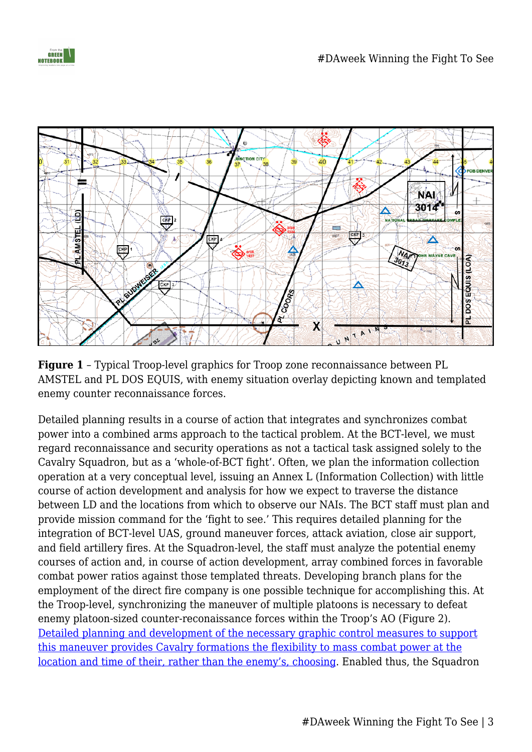



**Figure 1** – Typical Troop-level graphics for Troop zone reconnaissance between PL AMSTEL and PL DOS EQUIS, with enemy situation overlay depicting known and templated enemy counter reconnaissance forces.

Detailed planning results in a course of action that integrates and synchronizes combat power into a combined arms approach to the tactical problem. At the BCT-level, we must regard reconnaissance and security operations as not a tactical task assigned solely to the Cavalry Squadron, but as a 'whole-of-BCT fight'. Often, we plan the information collection operation at a very conceptual level, issuing an Annex L (Information Collection) with little course of action development and analysis for how we expect to traverse the distance between LD and the locations from which to observe our NAIs. The BCT staff must plan and provide mission command for the 'fight to see.' This requires detailed planning for the integration of BCT-level UAS, ground maneuver forces, attack aviation, close air support, and field artillery fires. At the Squadron-level, the staff must analyze the potential enemy courses of action and, in course of action development, array combined forces in favorable combat power ratios against those templated threats. Developing branch plans for the employment of the direct fire company is one possible technique for accomplishing this. At the Troop-level, synchronizing the maneuver of multiple platoons is necessary to defeat enemy platoon-sized counter-reconaissance forces within the Troop's AO (Figure 2). [Detailed planning and development of the necessary graphic control measures to support](https://fromthegreennotebook.com/2017/02/01/mission-command-and-detailed-command-its-not-a-zero-sum-game/) [this maneuver provides Cavalry formations the flexibility to mass combat power at the](https://fromthegreennotebook.com/2017/02/01/mission-command-and-detailed-command-its-not-a-zero-sum-game/) [location and time of their, rather than the enemy's, choosing](https://fromthegreennotebook.com/2017/02/01/mission-command-and-detailed-command-its-not-a-zero-sum-game/). Enabled thus, the Squadron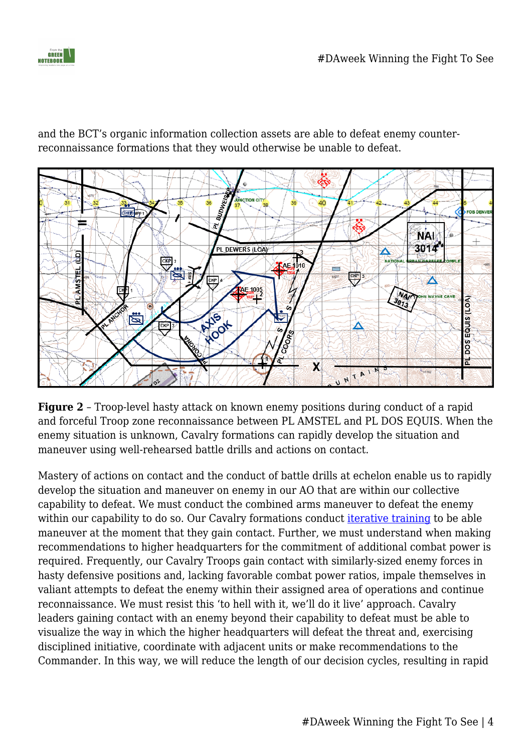and the BCT's organic information collection assets are able to defeat enemy counterreconnaissance formations that they would otherwise be unable to defeat.



**Figure 2** – Troop-level hasty attack on known enemy positions during conduct of a rapid and forceful Troop zone reconnaissance between PL AMSTEL and PL DOS EQUIS. When the enemy situation is unknown, Cavalry formations can rapidly develop the situation and maneuver using well-rehearsed battle drills and actions on contact.

Mastery of actions on contact and the conduct of battle drills at echelon enable us to rapidly develop the situation and maneuver on enemy in our AO that are within our collective capability to defeat. We must conduct the combined arms maneuver to defeat the enemy within our capability to do so. Our Cavalry formations conduct *[iterative training](http://www.benning.army.mil/armor/eARMOR/content/issues/2015/OCT_DEC/Martin-Cannon-Hartline.pdf)* to be able maneuver at the moment that they gain contact. Further, we must understand when making recommendations to higher headquarters for the commitment of additional combat power is required. Frequently, our Cavalry Troops gain contact with similarly-sized enemy forces in hasty defensive positions and, lacking favorable combat power ratios, impale themselves in valiant attempts to defeat the enemy within their assigned area of operations and continue reconnaissance. We must resist this 'to hell with it, we'll do it live' approach. Cavalry leaders gaining contact with an enemy beyond their capability to defeat must be able to visualize the way in which the higher headquarters will defeat the threat and, exercising disciplined initiative, coordinate with adjacent units or make recommendations to the Commander. In this way, we will reduce the length of our decision cycles, resulting in rapid